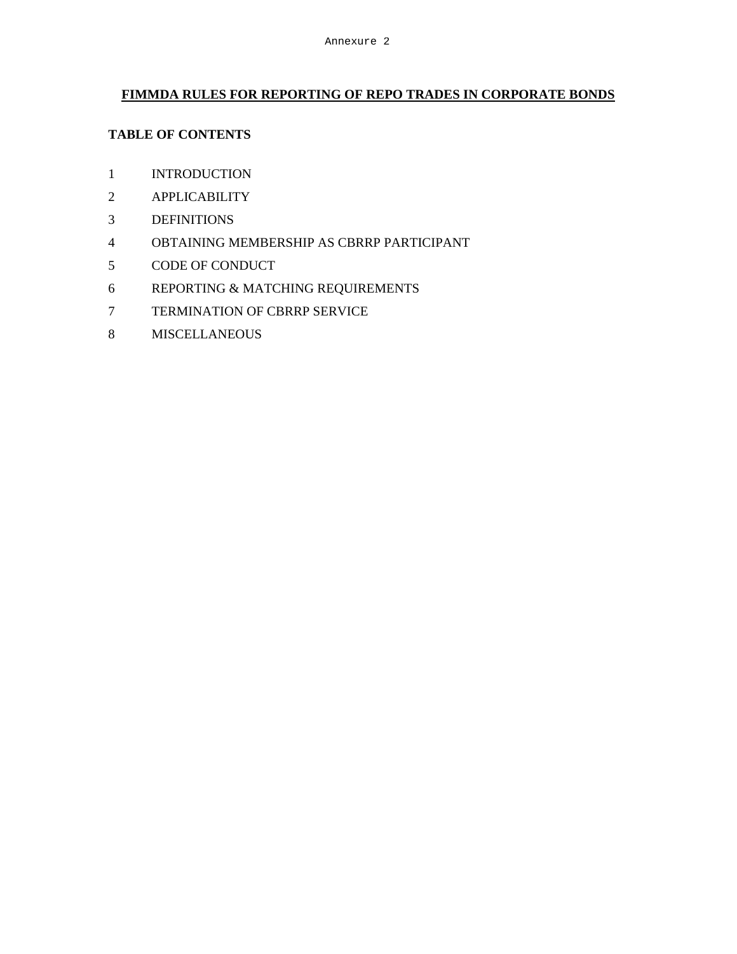## **FIMMDA RULES FOR REPORTING OF REPO TRADES IN CORPORATE BONDS**

## **TABLE OF CONTENTS**

- INTRODUCTION
- APPLICABILITY
- DEFINITIONS
- OBTAINING MEMBERSHIP AS CBRRP PARTICIPANT
- CODE OF CONDUCT
- REPORTING & MATCHING REQUIREMENTS
- TERMINATION OF CBRRP SERVICE
- MISCELLANEOUS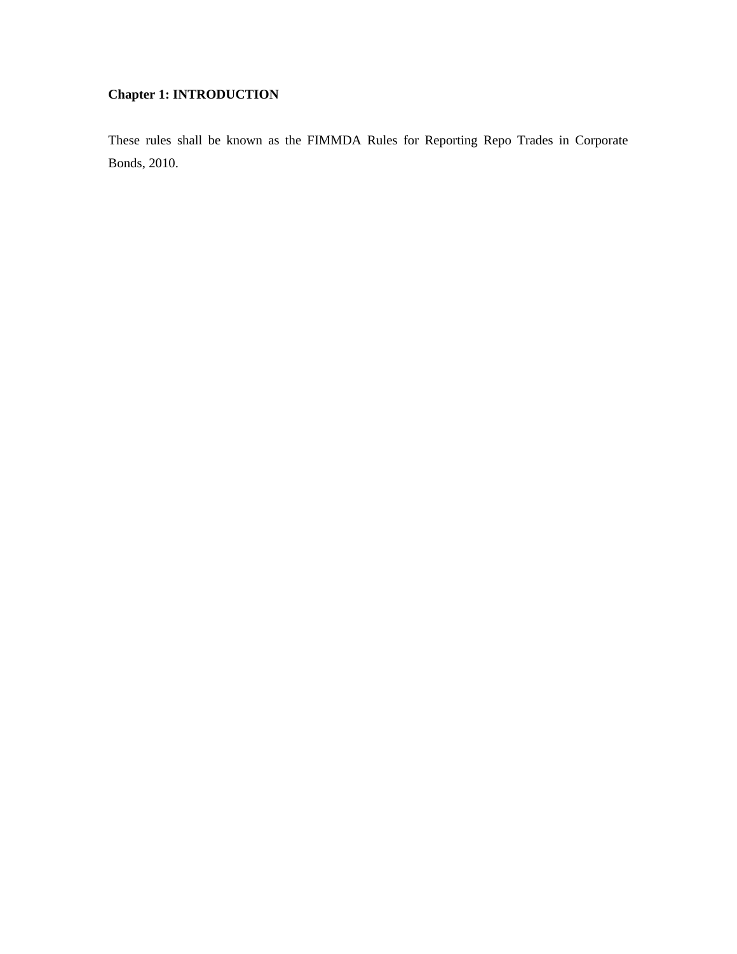# **Chapter 1: INTRODUCTION**

These rules shall be known as the FIMMDA Rules for Reporting Repo Trades in Corporate Bonds, 2010.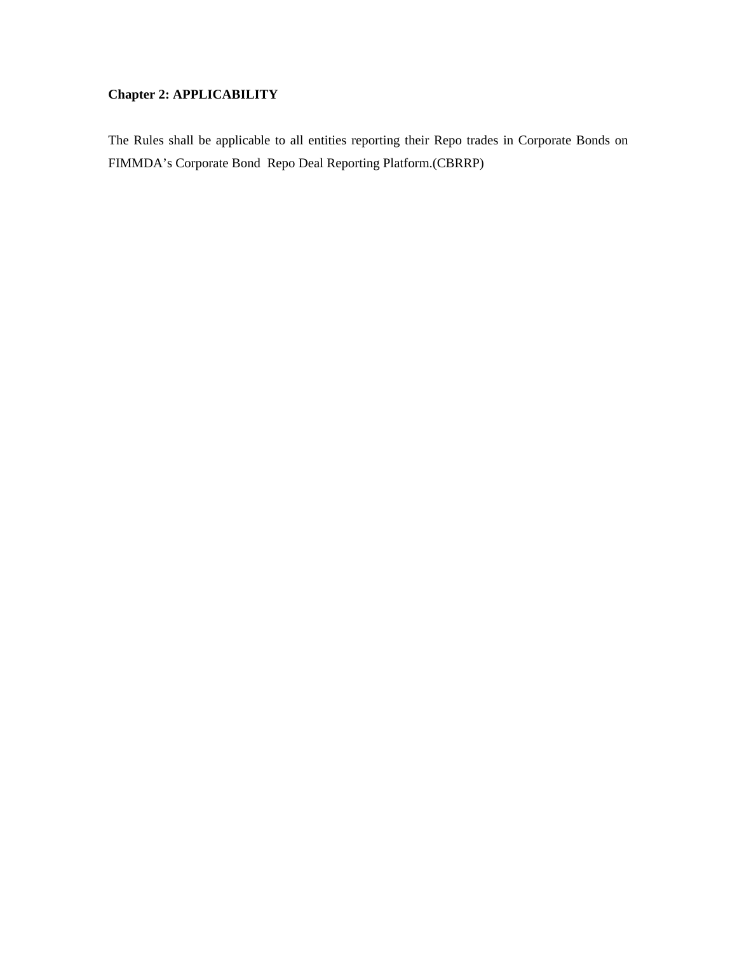# **Chapter 2: APPLICABILITY**

The Rules shall be applicable to all entities reporting their Repo trades in Corporate Bonds on FIMMDA's Corporate Bond Repo Deal Reporting Platform.(CBRRP)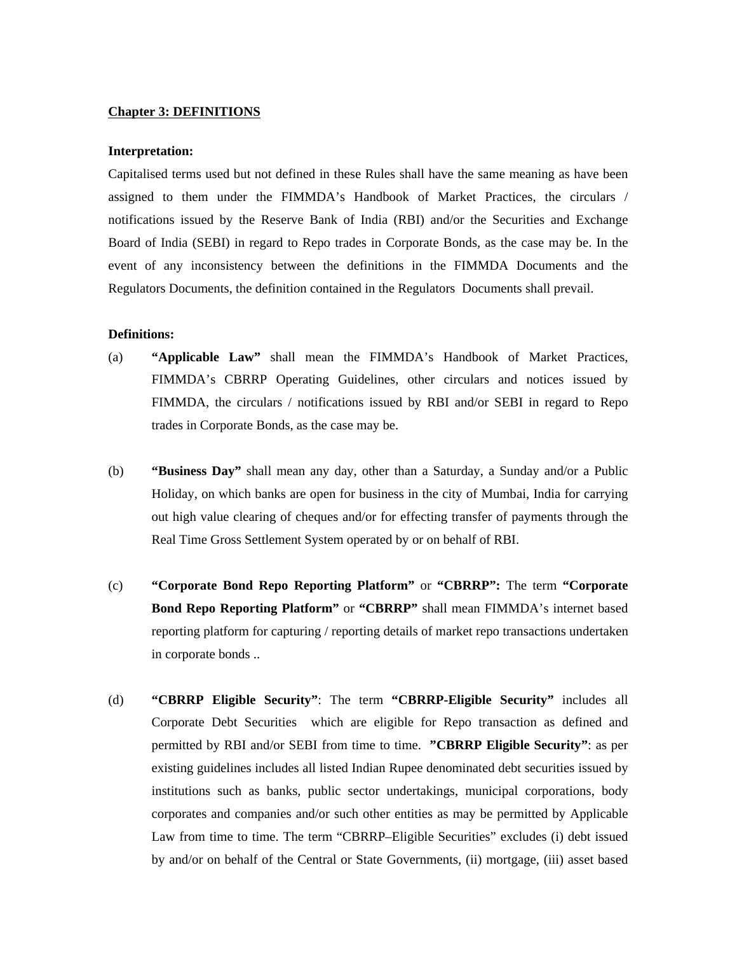## **Chapter 3: DEFINITIONS**

#### **Interpretation:**

Capitalised terms used but not defined in these Rules shall have the same meaning as have been assigned to them under the FIMMDA's Handbook of Market Practices, the circulars / notifications issued by the Reserve Bank of India (RBI) and/or the Securities and Exchange Board of India (SEBI) in regard to Repo trades in Corporate Bonds, as the case may be. In the event of any inconsistency between the definitions in the FIMMDA Documents and the Regulators Documents, the definition contained in the Regulators Documents shall prevail.

## **Definitions:**

- (a) **"Applicable Law"** shall mean the FIMMDA's Handbook of Market Practices, FIMMDA's CBRRP Operating Guidelines, other circulars and notices issued by FIMMDA, the circulars / notifications issued by RBI and/or SEBI in regard to Repo trades in Corporate Bonds, as the case may be.
- (b) **"Business Day"** shall mean any day, other than a Saturday, a Sunday and/or a Public Holiday, on which banks are open for business in the city of Mumbai, India for carrying out high value clearing of cheques and/or for effecting transfer of payments through the Real Time Gross Settlement System operated by or on behalf of RBI.
- (c) **"Corporate Bond Repo Reporting Platform"** or **"CBRRP":** The term **"Corporate Bond Repo Reporting Platform"** or **"CBRRP"** shall mean FIMMDA's internet based reporting platform for capturing / reporting details of market repo transactions undertaken in corporate bonds ..
- (d) **"CBRRP Eligible Security"**: The term **"CBRRP-Eligible Security"** includes all Corporate Debt Securities which are eligible for Repo transaction as defined and permitted by RBI and/or SEBI from time to time. **"CBRRP Eligible Security"**: as per existing guidelines includes all listed Indian Rupee denominated debt securities issued by institutions such as banks, public sector undertakings, municipal corporations, body corporates and companies and/or such other entities as may be permitted by Applicable Law from time to time. The term "CBRRP–Eligible Securities" excludes (i) debt issued by and/or on behalf of the Central or State Governments, (ii) mortgage, (iii) asset based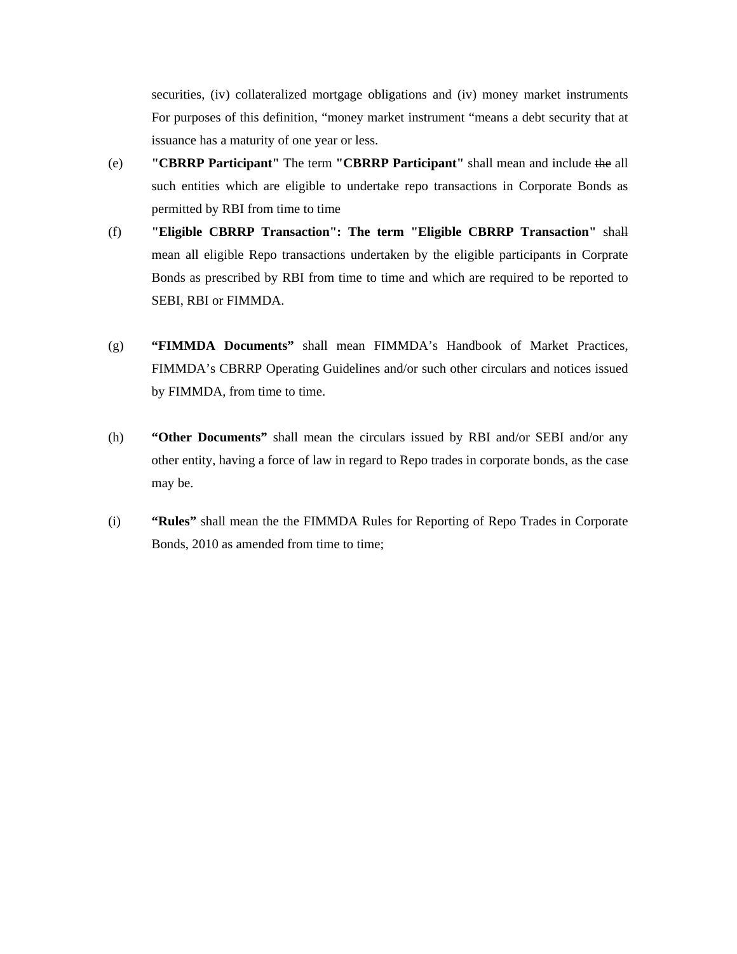securities, (iv) collateralized mortgage obligations and (iv) money market instruments For purposes of this definition, "money market instrument "means a debt security that at issuance has a maturity of one year or less.

- (e) **"CBRRP Participant"** The term **"CBRRP Participant"** shall mean and include the all such entities which are eligible to undertake repo transactions in Corporate Bonds as permitted by RBI from time to time
- (f) **"Eligible CBRRP Transaction": The term "Eligible CBRRP Transaction"** shall mean all eligible Repo transactions undertaken by the eligible participants in Corprate Bonds as prescribed by RBI from time to time and which are required to be reported to SEBI, RBI or FIMMDA.
- (g) **"FIMMDA Documents"** shall mean FIMMDA's Handbook of Market Practices, FIMMDA's CBRRP Operating Guidelines and/or such other circulars and notices issued by FIMMDA, from time to time.
- (h) **"Other Documents"** shall mean the circulars issued by RBI and/or SEBI and/or any other entity, having a force of law in regard to Repo trades in corporate bonds, as the case may be.
- (i) **"Rules"** shall mean the the FIMMDA Rules for Reporting of Repo Trades in Corporate Bonds, 2010 as amended from time to time;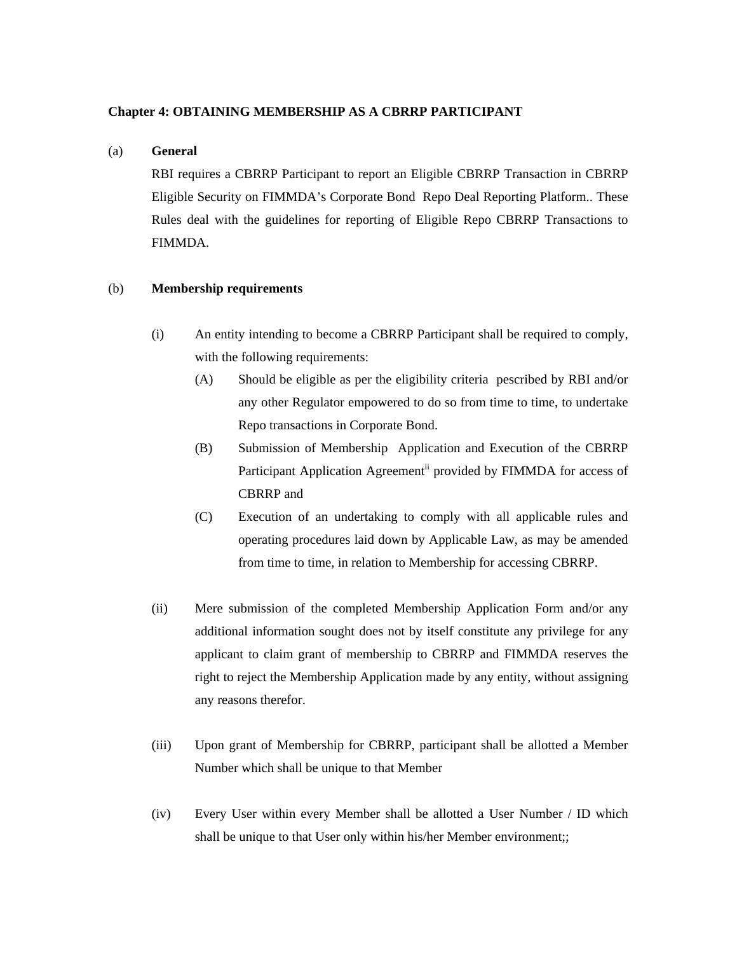## **Chapter 4: OBTAINING MEMBERSHIP AS A CBRRP PARTICIPANT**

## (a) **General**

RBI requires a CBRRP Participant to report an Eligible CBRRP Transaction in CBRRP Eligible Security on FIMMDA's Corporate Bond Repo Deal Reporting Platform.. These Rules deal with the guidelines for reporting of Eligible Repo CBRRP Transactions to FIMMDA.

## (b) **Membership requirements**

- (i) An entity intending to become a CBRRP Participant shall be required to comply, with the following requirements:
	- (A) Should be eligible as per the eligibility criteria pescribed by RBI and/or any other Regulator empowered to do so from time to time, to undertake Repo transactions in Corporate Bond.
	- (B) Submission of Membership Application and Execution of the CBRRP Participant Application Agreement<sup>ii</sup> provided by FIMMDA for access of CBRRP and
	- (C) Execution of an undertaking to comply with all applicable rules and operating procedures laid down by Applicable Law, as may be amended from time to time, in relation to Membership for accessing CBRRP.
- (ii) Mere submission of the completed Membership Application Form and/or any additional information sought does not by itself constitute any privilege for any applicant to claim grant of membership to CBRRP and FIMMDA reserves the right to reject the Membership Application made by any entity, without assigning any reasons therefor.
- (iii) Upon grant of Membership for CBRRP, participant shall be allotted a Member Number which shall be unique to that Member
- (iv) Every User within every Member shall be allotted a User Number / ID which shall be unique to that User only within his/her Member environment;;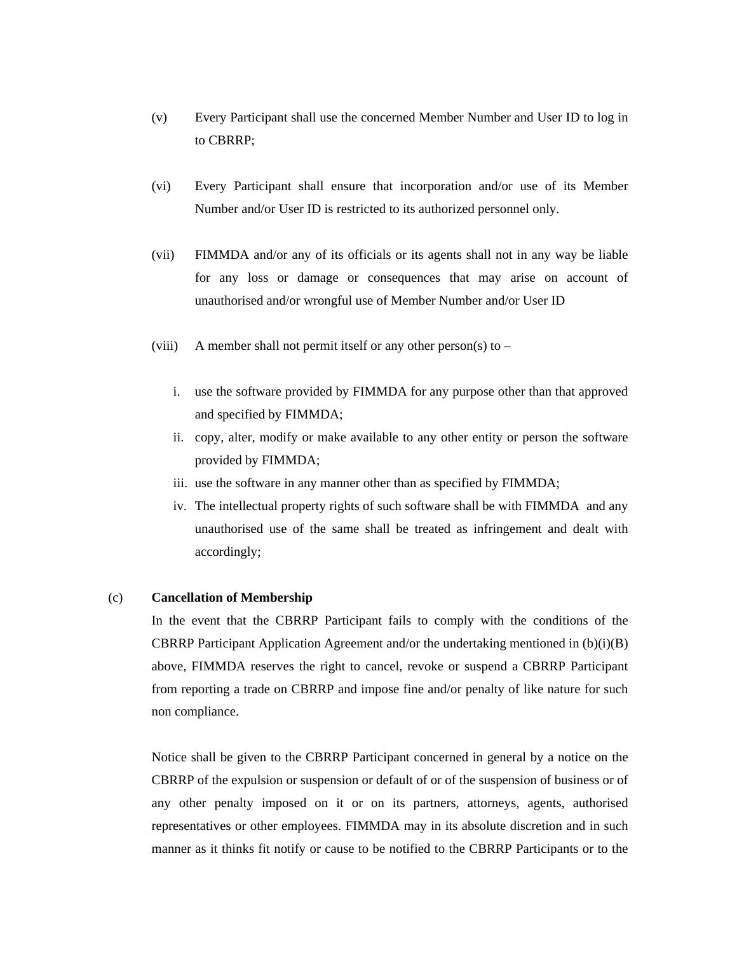- (v) Every Participant shall use the concerned Member Number and User ID to log in to CBRRP;
- (vi) Every Participant shall ensure that incorporation and/or use of its Member Number and/or User ID is restricted to its authorized personnel only.
- (vii) FIMMDA and/or any of its officials or its agents shall not in any way be liable for any loss or damage or consequences that may arise on account of unauthorised and/or wrongful use of Member Number and/or User ID
- (viii) A member shall not permit itself or any other person(s) to  $$ 
	- i. use the software provided by FIMMDA for any purpose other than that approved and specified by FIMMDA;
	- ii. copy, alter, modify or make available to any other entity or person the software provided by FIMMDA;
	- iii. use the software in any manner other than as specified by FIMMDA;
	- iv. The intellectual property rights of such software shall be with FIMMDA and any unauthorised use of the same shall be treated as infringement and dealt with accordingly;

## (c) **Cancellation of Membership**

In the event that the CBRRP Participant fails to comply with the conditions of the CBRRP Participant Application Agreement and/or the undertaking mentioned in  $(b)(i)(B)$ above, FIMMDA reserves the right to cancel, revoke or suspend a CBRRP Participant from reporting a trade on CBRRP and impose fine and/or penalty of like nature for such non compliance.

Notice shall be given to the CBRRP Participant concerned in general by a notice on the CBRRP of the expulsion or suspension or default of or of the suspension of business or of any other penalty imposed on it or on its partners, attorneys, agents, authorised representatives or other employees. FIMMDA may in its absolute discretion and in such manner as it thinks fit notify or cause to be notified to the CBRRP Participants or to the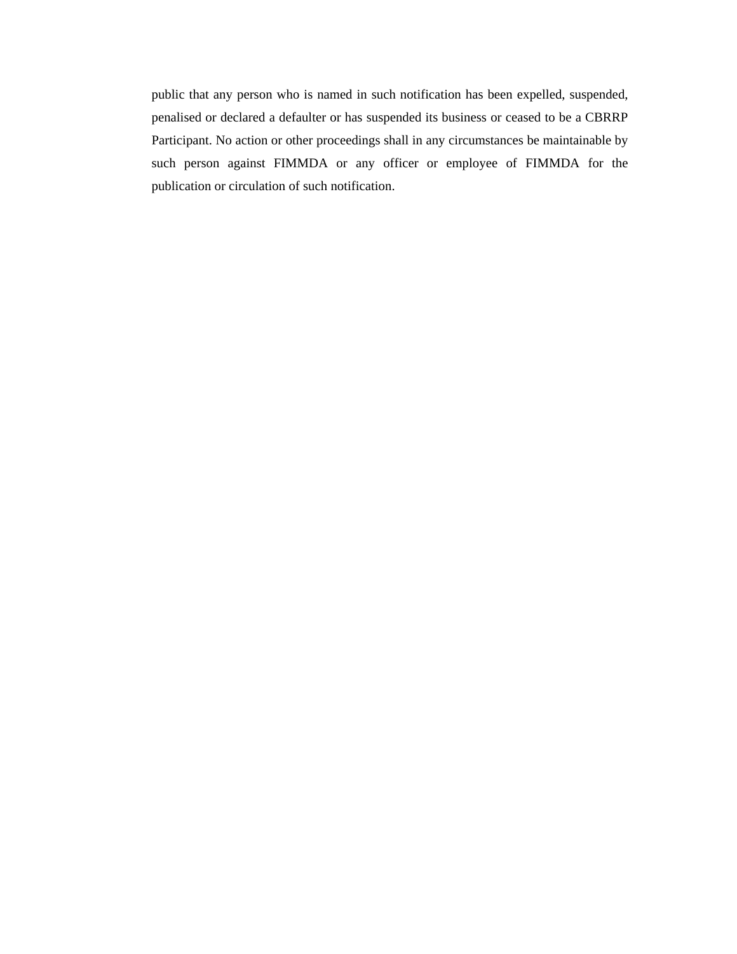public that any person who is named in such notification has been expelled, suspended, penalised or declared a defaulter or has suspended its business or ceased to be a CBRRP Participant. No action or other proceedings shall in any circumstances be maintainable by such person against FIMMDA or any officer or employee of FIMMDA for the publication or circulation of such notification.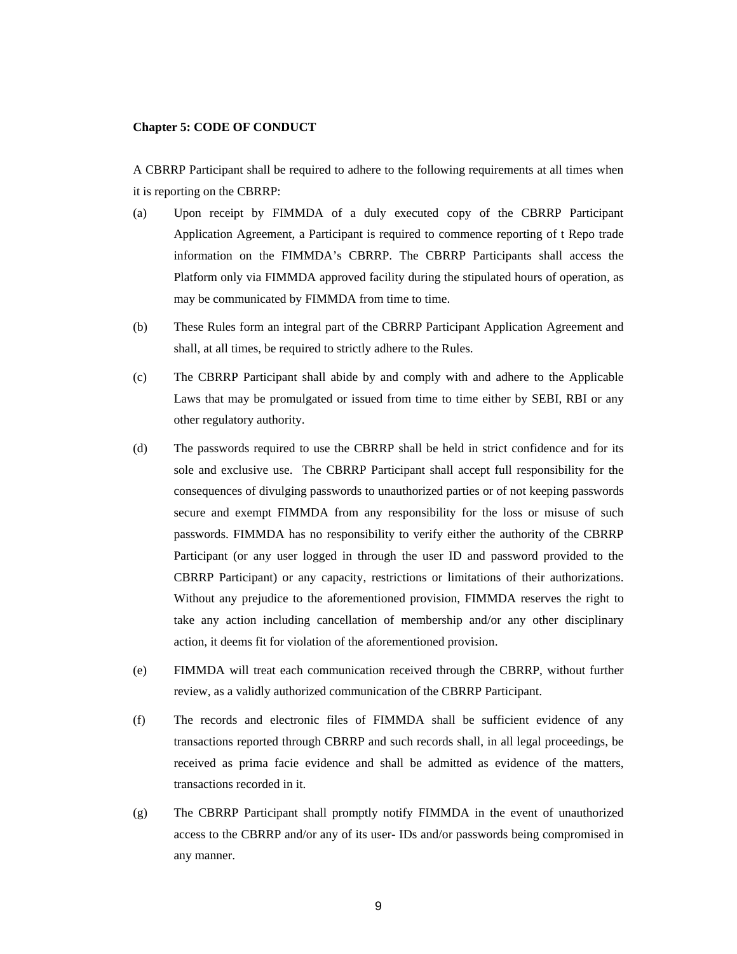#### **Chapter 5: CODE OF CONDUCT**

A CBRRP Participant shall be required to adhere to the following requirements at all times when it is reporting on the CBRRP:

- (a) Upon receipt by FIMMDA of a duly executed copy of the CBRRP Participant Application Agreement, a Participant is required to commence reporting of t Repo trade information on the FIMMDA's CBRRP. The CBRRP Participants shall access the Platform only via FIMMDA approved facility during the stipulated hours of operation, as may be communicated by FIMMDA from time to time.
- (b) These Rules form an integral part of the CBRRP Participant Application Agreement and shall, at all times, be required to strictly adhere to the Rules.
- (c) The CBRRP Participant shall abide by and comply with and adhere to the Applicable Laws that may be promulgated or issued from time to time either by SEBI, RBI or any other regulatory authority.
- (d) The passwords required to use the CBRRP shall be held in strict confidence and for its sole and exclusive use. The CBRRP Participant shall accept full responsibility for the consequences of divulging passwords to unauthorized parties or of not keeping passwords secure and exempt FIMMDA from any responsibility for the loss or misuse of such passwords. FIMMDA has no responsibility to verify either the authority of the CBRRP Participant (or any user logged in through the user ID and password provided to the CBRRP Participant) or any capacity, restrictions or limitations of their authorizations. Without any prejudice to the aforementioned provision, FIMMDA reserves the right to take any action including cancellation of membership and/or any other disciplinary action, it deems fit for violation of the aforementioned provision.
- (e) FIMMDA will treat each communication received through the CBRRP, without further review, as a validly authorized communication of the CBRRP Participant.
- (f) The records and electronic files of FIMMDA shall be sufficient evidence of any transactions reported through CBRRP and such records shall, in all legal proceedings, be received as prima facie evidence and shall be admitted as evidence of the matters, transactions recorded in it.
- (g) The CBRRP Participant shall promptly notify FIMMDA in the event of unauthorized access to the CBRRP and/or any of its user- IDs and/or passwords being compromised in any manner.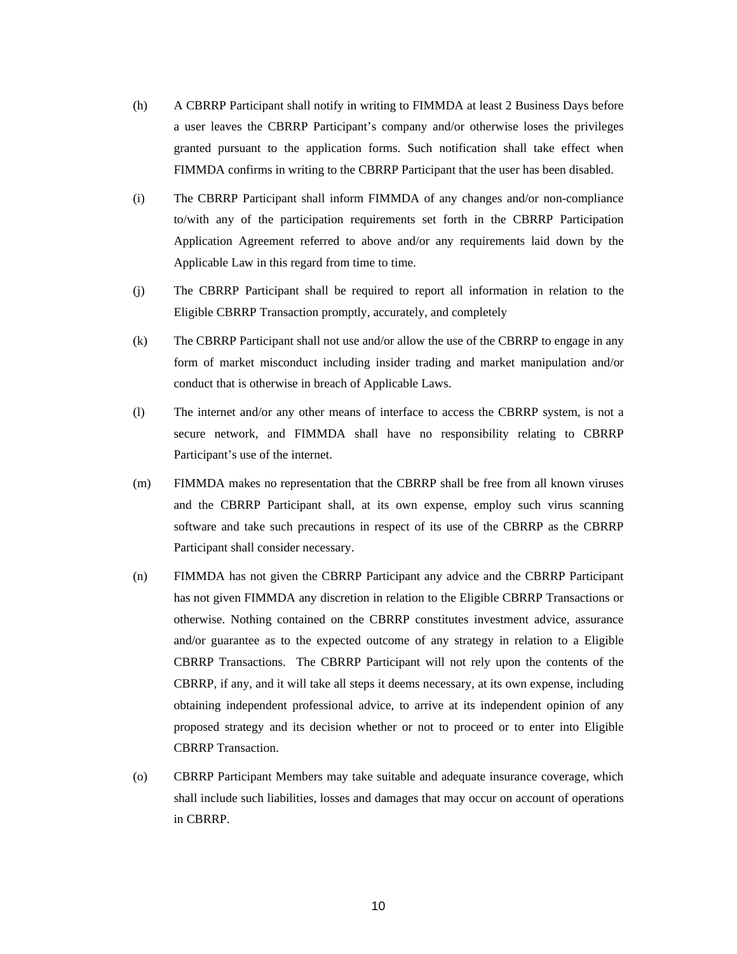- (h) A CBRRP Participant shall notify in writing to FIMMDA at least 2 Business Days before a user leaves the CBRRP Participant's company and/or otherwise loses the privileges granted pursuant to the application forms. Such notification shall take effect when FIMMDA confirms in writing to the CBRRP Participant that the user has been disabled.
- (i) The CBRRP Participant shall inform FIMMDA of any changes and/or non-compliance to/with any of the participation requirements set forth in the CBRRP Participation Application Agreement referred to above and/or any requirements laid down by the Applicable Law in this regard from time to time.
- (j) The CBRRP Participant shall be required to report all information in relation to the Eligible CBRRP Transaction promptly, accurately, and completely
- (k) The CBRRP Participant shall not use and/or allow the use of the CBRRP to engage in any form of market misconduct including insider trading and market manipulation and/or conduct that is otherwise in breach of Applicable Laws.
- (l) The internet and/or any other means of interface to access the CBRRP system, is not a secure network, and FIMMDA shall have no responsibility relating to CBRRP Participant's use of the internet.
- (m) FIMMDA makes no representation that the CBRRP shall be free from all known viruses and the CBRRP Participant shall, at its own expense, employ such virus scanning software and take such precautions in respect of its use of the CBRRP as the CBRRP Participant shall consider necessary.
- (n) FIMMDA has not given the CBRRP Participant any advice and the CBRRP Participant has not given FIMMDA any discretion in relation to the Eligible CBRRP Transactions or otherwise. Nothing contained on the CBRRP constitutes investment advice, assurance and/or guarantee as to the expected outcome of any strategy in relation to a Eligible CBRRP Transactions. The CBRRP Participant will not rely upon the contents of the CBRRP, if any, and it will take all steps it deems necessary, at its own expense, including obtaining independent professional advice, to arrive at its independent opinion of any proposed strategy and its decision whether or not to proceed or to enter into Eligible CBRRP Transaction.
- (o) CBRRP Participant Members may take suitable and adequate insurance coverage, which shall include such liabilities, losses and damages that may occur on account of operations in CBRRP.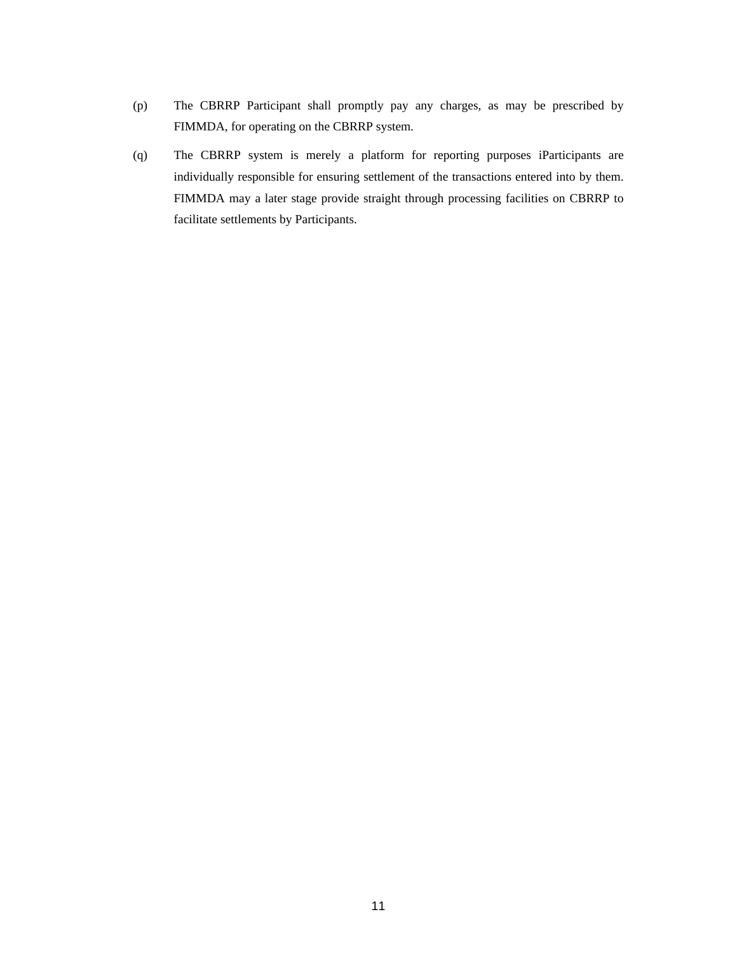- (p) The CBRRP Participant shall promptly pay any charges, as may be prescribed by FIMMDA, for operating on the CBRRP system.
- (q) The CBRRP system is merely a platform for reporting purposes iParticipants are individually responsible for ensuring settlement of the transactions entered into by them. FIMMDA may a later stage provide straight through processing facilities on CBRRP to facilitate settlements by Participants.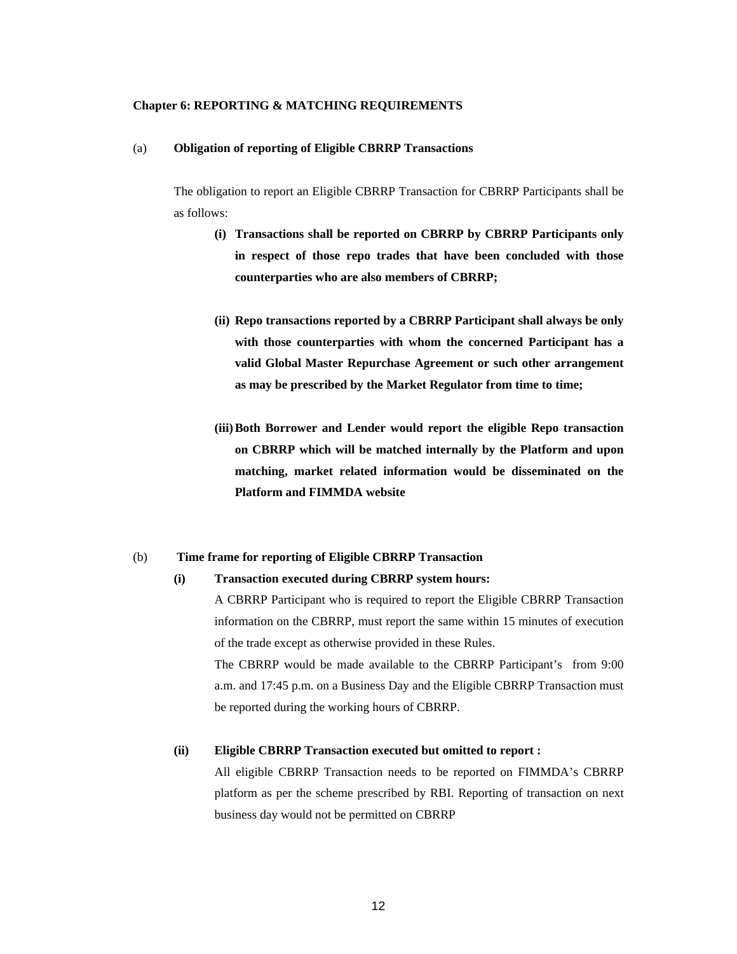#### **Chapter 6: REPORTING & MATCHING REQUIREMENTS**

#### (a) **Obligation of reporting of Eligible CBRRP Transactions**

The obligation to report an Eligible CBRRP Transaction for CBRRP Participants shall be as follows:

- **(i) Transactions shall be reported on CBRRP by CBRRP Participants only in respect of those repo trades that have been concluded with those counterparties who are also members of CBRRP;**
- **(ii) Repo transactions reported by a CBRRP Participant shall always be only with those counterparties with whom the concerned Participant has a valid Global Master Repurchase Agreement or such other arrangement as may be prescribed by the Market Regulator from time to time;**
- **(iii)Both Borrower and Lender would report the eligible Repo transaction on CBRRP which will be matched internally by the Platform and upon matching, market related information would be disseminated on the Platform and FIMMDA website**

#### (b) **Time frame for reporting of Eligible CBRRP Transaction**

#### **(i) Transaction executed during CBRRP system hours:**

A CBRRP Participant who is required to report the Eligible CBRRP Transaction information on the CBRRP, must report the same within 15 minutes of execution of the trade except as otherwise provided in these Rules.

The CBRRP would be made available to the CBRRP Participant's from 9:00 a.m. and 17:45 p.m. on a Business Day and the Eligible CBRRP Transaction must be reported during the working hours of CBRRP.

## **(ii) Eligible CBRRP Transaction executed but omitted to report :**

All eligible CBRRP Transaction needs to be reported on FIMMDA's CBRRP platform as per the scheme prescribed by RBI. Reporting of transaction on next business day would not be permitted on CBRRP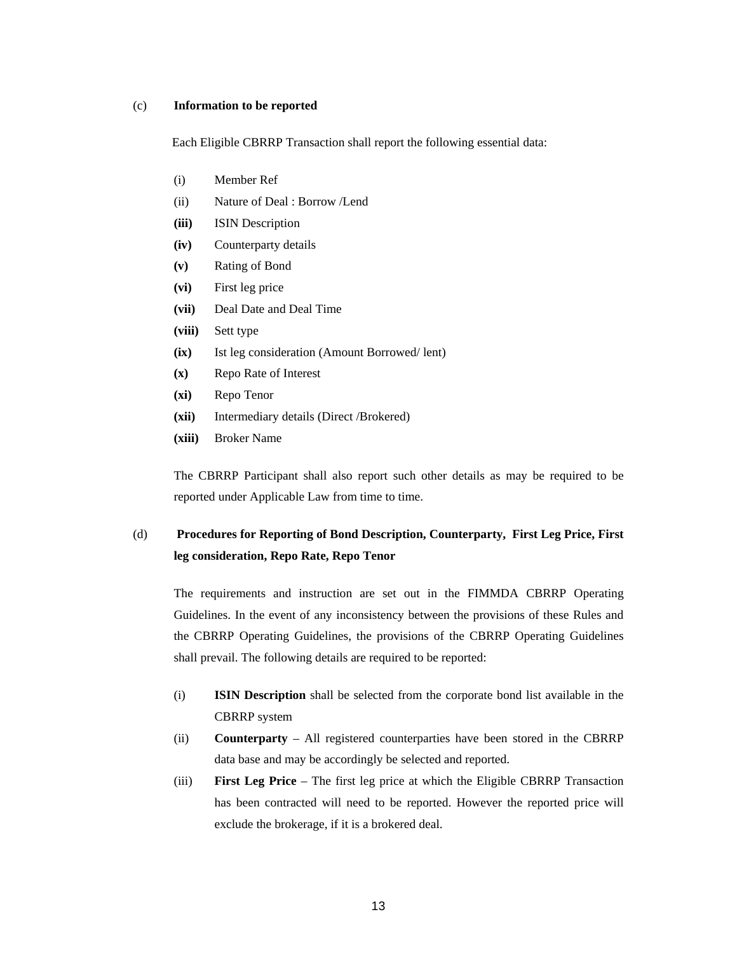#### (c) **Information to be reported**

Each Eligible CBRRP Transaction shall report the following essential data:

- (i) Member Ref
- (ii) Nature of Deal : Borrow /Lend
- **(iii)** ISIN Description
- **(iv)** Counterparty details
- **(v)** Rating of Bond
- **(vi)** First leg price
- **(vii)** Deal Date and Deal Time
- **(viii)** Sett type
- **(ix)** Ist leg consideration (Amount Borrowed/ lent)
- **(x)** Repo Rate of Interest
- **(xi)** Repo Tenor
- **(xii)** Intermediary details (Direct /Brokered)
- **(xiii)** Broker Name

The CBRRP Participant shall also report such other details as may be required to be reported under Applicable Law from time to time.

# (d) **Procedures for Reporting of Bond Description, Counterparty, First Leg Price, First leg consideration, Repo Rate, Repo Tenor**

The requirements and instruction are set out in the FIMMDA CBRRP Operating Guidelines. In the event of any inconsistency between the provisions of these Rules and the CBRRP Operating Guidelines, the provisions of the CBRRP Operating Guidelines shall prevail. The following details are required to be reported:

- (i) **ISIN Description** shall be selected from the corporate bond list available in the CBRRP system
- (ii) **Counterparty** All registered counterparties have been stored in the CBRRP data base and may be accordingly be selected and reported.
- (iii) **First Leg Price** The first leg price at which the Eligible CBRRP Transaction has been contracted will need to be reported. However the reported price will exclude the brokerage, if it is a brokered deal.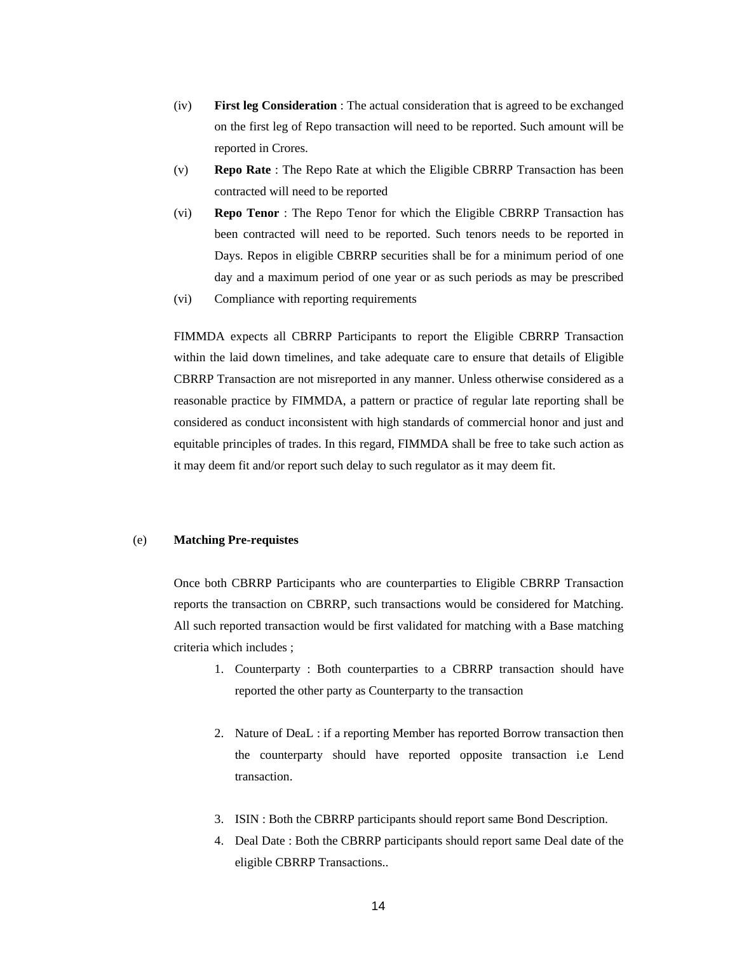- (iv) **First leg Consideration** : The actual consideration that is agreed to be exchanged on the first leg of Repo transaction will need to be reported. Such amount will be reported in Crores.
- (v) **Repo Rate** : The Repo Rate at which the Eligible CBRRP Transaction has been contracted will need to be reported
- (vi) **Repo Tenor** : The Repo Tenor for which the Eligible CBRRP Transaction has been contracted will need to be reported. Such tenors needs to be reported in Days. Repos in eligible CBRRP securities shall be for a minimum period of one day and a maximum period of one year or as such periods as may be prescribed
- (vi) Compliance with reporting requirements

FIMMDA expects all CBRRP Participants to report the Eligible CBRRP Transaction within the laid down timelines, and take adequate care to ensure that details of Eligible CBRRP Transaction are not misreported in any manner. Unless otherwise considered as a reasonable practice by FIMMDA, a pattern or practice of regular late reporting shall be considered as conduct inconsistent with high standards of commercial honor and just and equitable principles of trades. In this regard, FIMMDA shall be free to take such action as it may deem fit and/or report such delay to such regulator as it may deem fit.

## (e) **Matching Pre-requistes**

Once both CBRRP Participants who are counterparties to Eligible CBRRP Transaction reports the transaction on CBRRP, such transactions would be considered for Matching. All such reported transaction would be first validated for matching with a Base matching criteria which includes ;

- 1. Counterparty : Both counterparties to a CBRRP transaction should have reported the other party as Counterparty to the transaction
- 2. Nature of DeaL : if a reporting Member has reported Borrow transaction then the counterparty should have reported opposite transaction i.e Lend transaction.
- 3. ISIN : Both the CBRRP participants should report same Bond Description.
- 4. Deal Date : Both the CBRRP participants should report same Deal date of the eligible CBRRP Transactions..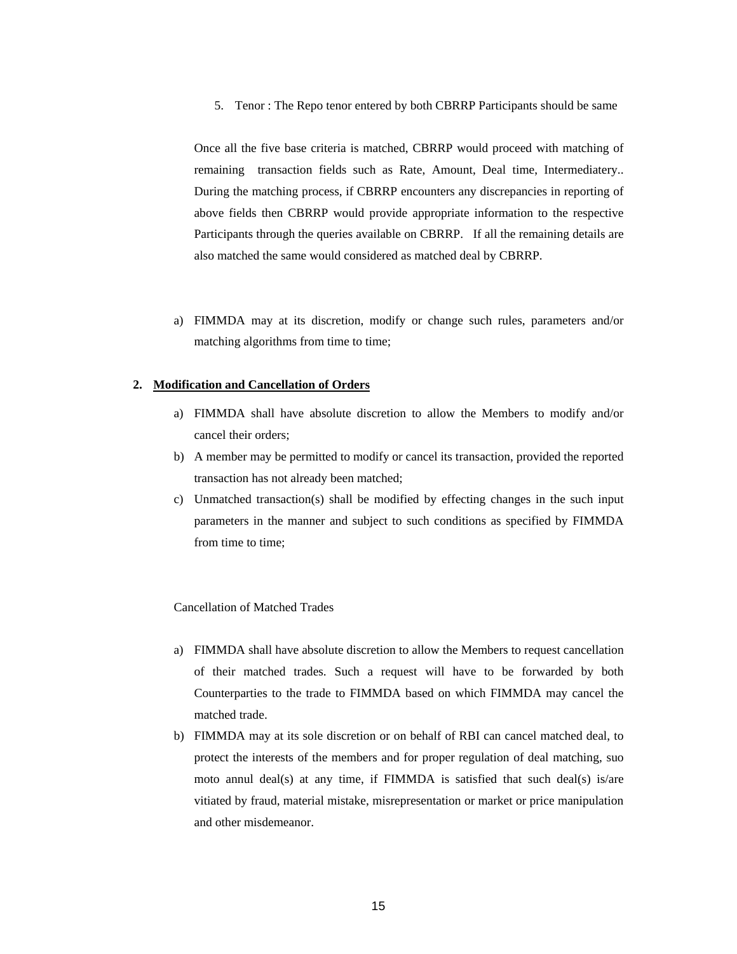5. Tenor : The Repo tenor entered by both CBRRP Participants should be same

Once all the five base criteria is matched, CBRRP would proceed with matching of remaining transaction fields such as Rate, Amount, Deal time, Intermediatery.. During the matching process, if CBRRP encounters any discrepancies in reporting of above fields then CBRRP would provide appropriate information to the respective Participants through the queries available on CBRRP. If all the remaining details are also matched the same would considered as matched deal by CBRRP.

a) FIMMDA may at its discretion, modify or change such rules, parameters and/or matching algorithms from time to time;

#### **2. Modification and Cancellation of Orders**

- a) FIMMDA shall have absolute discretion to allow the Members to modify and/or cancel their orders;
- b) A member may be permitted to modify or cancel its transaction, provided the reported transaction has not already been matched;
- c) Unmatched transaction(s) shall be modified by effecting changes in the such input parameters in the manner and subject to such conditions as specified by FIMMDA from time to time;

#### Cancellation of Matched Trades

- a) FIMMDA shall have absolute discretion to allow the Members to request cancellation of their matched trades. Such a request will have to be forwarded by both Counterparties to the trade to FIMMDA based on which FIMMDA may cancel the matched trade.
- b) FIMMDA may at its sole discretion or on behalf of RBI can cancel matched deal, to protect the interests of the members and for proper regulation of deal matching, suo moto annul deal(s) at any time, if FIMMDA is satisfied that such deal(s) is/are vitiated by fraud, material mistake, misrepresentation or market or price manipulation and other misdemeanor.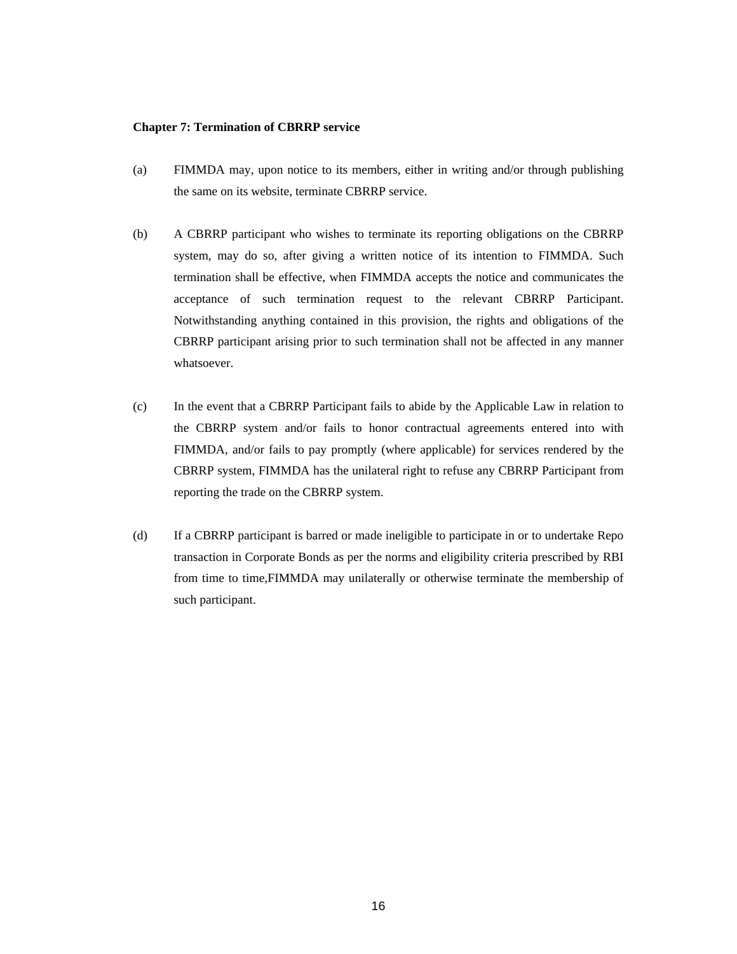#### **Chapter 7: Termination of CBRRP service**

- (a) FIMMDA may, upon notice to its members, either in writing and/or through publishing the same on its website, terminate CBRRP service.
- (b) A CBRRP participant who wishes to terminate its reporting obligations on the CBRRP system, may do so, after giving a written notice of its intention to FIMMDA. Such termination shall be effective, when FIMMDA accepts the notice and communicates the acceptance of such termination request to the relevant CBRRP Participant. Notwithstanding anything contained in this provision, the rights and obligations of the CBRRP participant arising prior to such termination shall not be affected in any manner whatsoever.
- (c) In the event that a CBRRP Participant fails to abide by the Applicable Law in relation to the CBRRP system and/or fails to honor contractual agreements entered into with FIMMDA, and/or fails to pay promptly (where applicable) for services rendered by the CBRRP system, FIMMDA has the unilateral right to refuse any CBRRP Participant from reporting the trade on the CBRRP system.
- (d) If a CBRRP participant is barred or made ineligible to participate in or to undertake Repo transaction in Corporate Bonds as per the norms and eligibility criteria prescribed by RBI from time to time,FIMMDA may unilaterally or otherwise terminate the membership of such participant.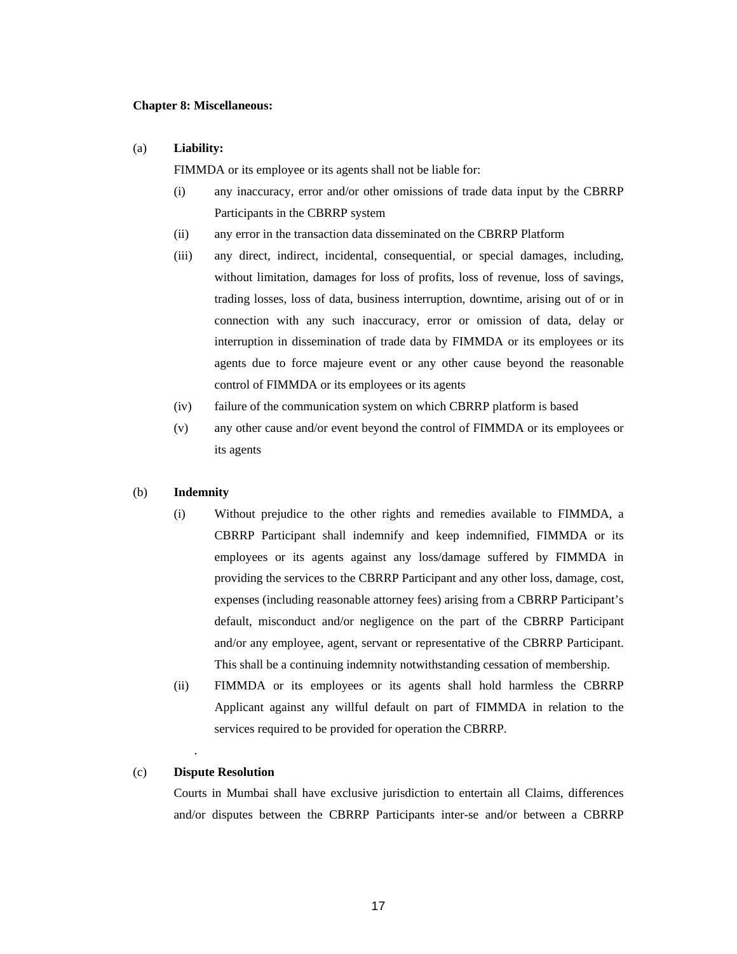#### **Chapter 8: Miscellaneous:**

#### (a) **Liability:**

FIMMDA or its employee or its agents shall not be liable for:

- (i) any inaccuracy, error and/or other omissions of trade data input by the CBRRP Participants in the CBRRP system
- (ii) any error in the transaction data disseminated on the CBRRP Platform
- (iii) any direct, indirect, incidental, consequential, or special damages, including, without limitation, damages for loss of profits, loss of revenue, loss of savings, trading losses, loss of data, business interruption, downtime, arising out of or in connection with any such inaccuracy, error or omission of data, delay or interruption in dissemination of trade data by FIMMDA or its employees or its agents due to force majeure event or any other cause beyond the reasonable control of FIMMDA or its employees or its agents
- (iv) failure of the communication system on which CBRRP platform is based
- (v) any other cause and/or event beyond the control of FIMMDA or its employees or its agents

#### (b) **Indemnity**

- (i) Without prejudice to the other rights and remedies available to FIMMDA, a CBRRP Participant shall indemnify and keep indemnified, FIMMDA or its employees or its agents against any loss/damage suffered by FIMMDA in providing the services to the CBRRP Participant and any other loss, damage, cost, expenses (including reasonable attorney fees) arising from a CBRRP Participant's default, misconduct and/or negligence on the part of the CBRRP Participant and/or any employee, agent, servant or representative of the CBRRP Participant. This shall be a continuing indemnity notwithstanding cessation of membership.
- (ii) FIMMDA or its employees or its agents shall hold harmless the CBRRP Applicant against any willful default on part of FIMMDA in relation to the services required to be provided for operation the CBRRP.

#### (c) **Dispute Resolution**

.

Courts in Mumbai shall have exclusive jurisdiction to entertain all Claims, differences and/or disputes between the CBRRP Participants inter-se and/or between a CBRRP